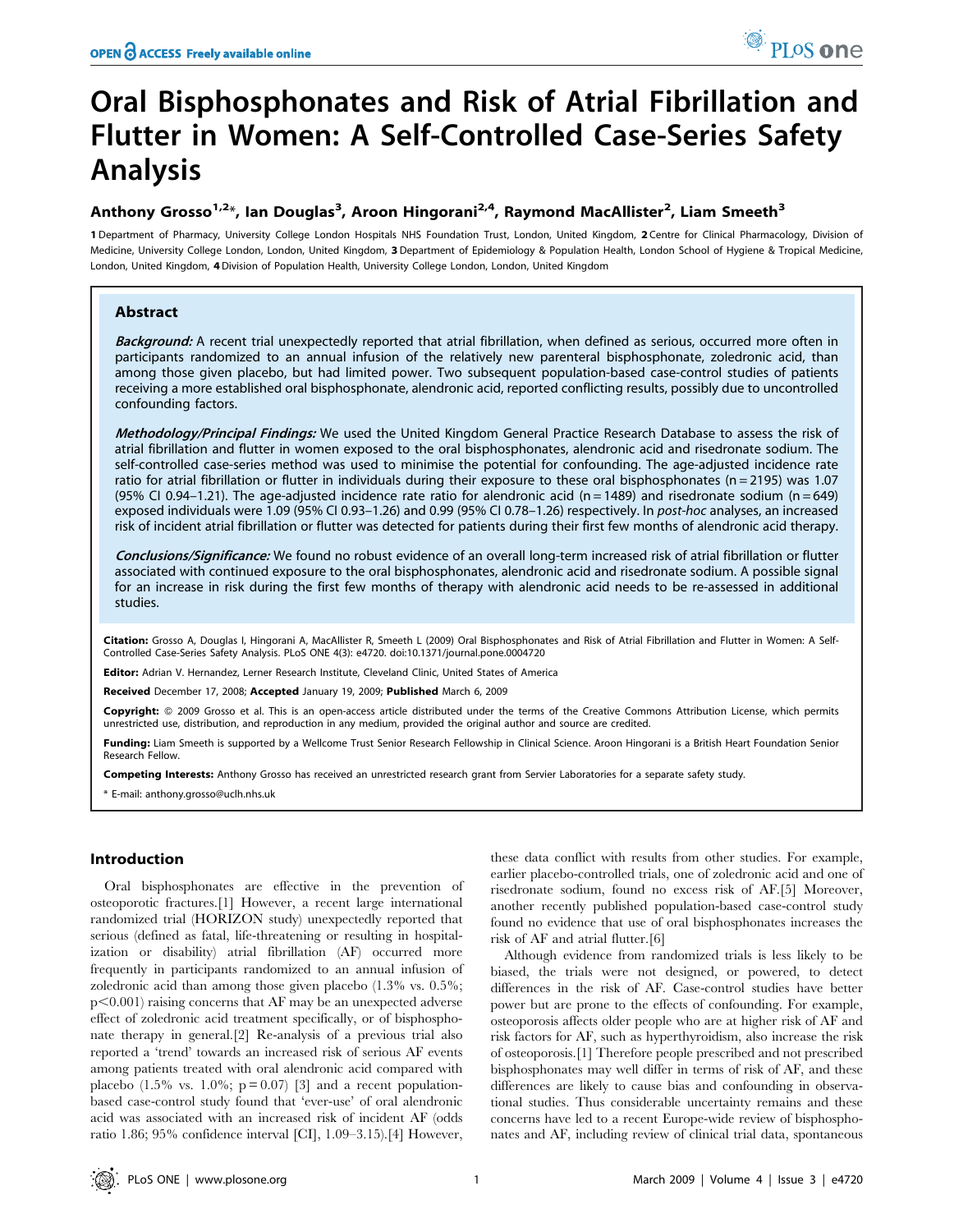# Oral Bisphosphonates and Risk of Atrial Fibrillation and Flutter in Women: A Self-Controlled Case-Series Safety Analysis

# Anthony Grosso<sup>1,2</sup>\*, Ian Douglas<sup>3</sup>, Aroon Hingorani<sup>2,4</sup>, Raymond MacAllister<sup>2</sup>, Liam Smeeth<sup>3</sup>

1 Department of Pharmacy, University College London Hospitals NHS Foundation Trust, London, United Kingdom, 2 Centre for Clinical Pharmacology, Division of Medicine, University College London, London, United Kingdom, 3 Department of Epidemiology & Population Health, London School of Hygiene & Tropical Medicine, London, United Kingdom, 4Division of Population Health, University College London, London, United Kingdom

# Abstract

Background: A recent trial unexpectedly reported that atrial fibrillation, when defined as serious, occurred more often in participants randomized to an annual infusion of the relatively new parenteral bisphosphonate, zoledronic acid, than among those given placebo, but had limited power. Two subsequent population-based case-control studies of patients receiving a more established oral bisphosphonate, alendronic acid, reported conflicting results, possibly due to uncontrolled confounding factors.

Methodology/Principal Findings: We used the United Kingdom General Practice Research Database to assess the risk of atrial fibrillation and flutter in women exposed to the oral bisphosphonates, alendronic acid and risedronate sodium. The self-controlled case-series method was used to minimise the potential for confounding. The age-adjusted incidence rate ratio for atrial fibrillation or flutter in individuals during their exposure to these oral bisphosphonates ( $n = 2195$ ) was 1.07 (95% CI 0.94–1.21). The age-adjusted incidence rate ratio for alendronic acid (n = 1489) and risedronate sodium (n = 649) exposed individuals were 1.09 (95% CI 0.93–1.26) and 0.99 (95% CI 0.78–1.26) respectively. In post-hoc analyses, an increased risk of incident atrial fibrillation or flutter was detected for patients during their first few months of alendronic acid therapy.

Conclusions/Significance: We found no robust evidence of an overall long-term increased risk of atrial fibrillation or flutter associated with continued exposure to the oral bisphosphonates, alendronic acid and risedronate sodium. A possible signal for an increase in risk during the first few months of therapy with alendronic acid needs to be re-assessed in additional studies.

Citation: Grosso A, Douglas I, Hingorani A, MacAllister R, Smeeth L (2009) Oral Bisphosphonates and Risk of Atrial Fibrillation and Flutter in Women: A Self-Controlled Case-Series Safety Analysis. PLoS ONE 4(3): e4720. doi:10.1371/journal.pone.0004720

Editor: Adrian V. Hernandez, Lerner Research Institute, Cleveland Clinic, United States of America

Received December 17, 2008; Accepted January 19, 2009; Published March 6, 2009

Copyright: © 2009 Grosso et al. This is an open-access article distributed under the terms of the Creative Commons Attribution License, which permits unrestricted use, distribution, and reproduction in any medium, provided the original author and source are credited.

Funding: Liam Smeeth is supported by a Wellcome Trust Senior Research Fellowship in Clinical Science. Aroon Hingorani is a British Heart Foundation Senior Research Fellow.

Competing Interests: Anthony Grosso has received an unrestricted research grant from Servier Laboratories for a separate safety study.

\* E-mail: anthony.grosso@uclh.nhs.uk

# Introduction

Oral bisphosphonates are effective in the prevention of osteoporotic fractures.[1] However, a recent large international randomized trial (HORIZON study) unexpectedly reported that serious (defined as fatal, life-threatening or resulting in hospitalization or disability) atrial fibrillation (AF) occurred more frequently in participants randomized to an annual infusion of zoledronic acid than among those given placebo (1.3% vs. 0.5%; p*,*0.001) raising concerns that AF may be an unexpected adverse effect of zoledronic acid treatment specifically, or of bisphosphonate therapy in general.[2] Re-analysis of a previous trial also reported a 'trend' towards an increased risk of serious AF events among patients treated with oral alendronic acid compared with placebo (1.5% vs. 1.0%;  $p = 0.07$ ) [3] and a recent populationbased case-control study found that 'ever-use' of oral alendronic acid was associated with an increased risk of incident AF (odds ratio 1.86; 95% confidence interval [CI], 1.09–3.15).[4] However,

these data conflict with results from other studies. For example, earlier placebo-controlled trials, one of zoledronic acid and one of risedronate sodium, found no excess risk of AF.[5] Moreover, another recently published population-based case-control study found no evidence that use of oral bisphosphonates increases the risk of AF and atrial flutter.[6]

Although evidence from randomized trials is less likely to be biased, the trials were not designed, or powered, to detect differences in the risk of AF. Case-control studies have better power but are prone to the effects of confounding. For example, osteoporosis affects older people who are at higher risk of AF and risk factors for AF, such as hyperthyroidism, also increase the risk of osteoporosis.[1] Therefore people prescribed and not prescribed bisphosphonates may well differ in terms of risk of AF, and these differences are likely to cause bias and confounding in observational studies. Thus considerable uncertainty remains and these concerns have led to a recent Europe-wide review of bisphosphonates and AF, including review of clinical trial data, spontaneous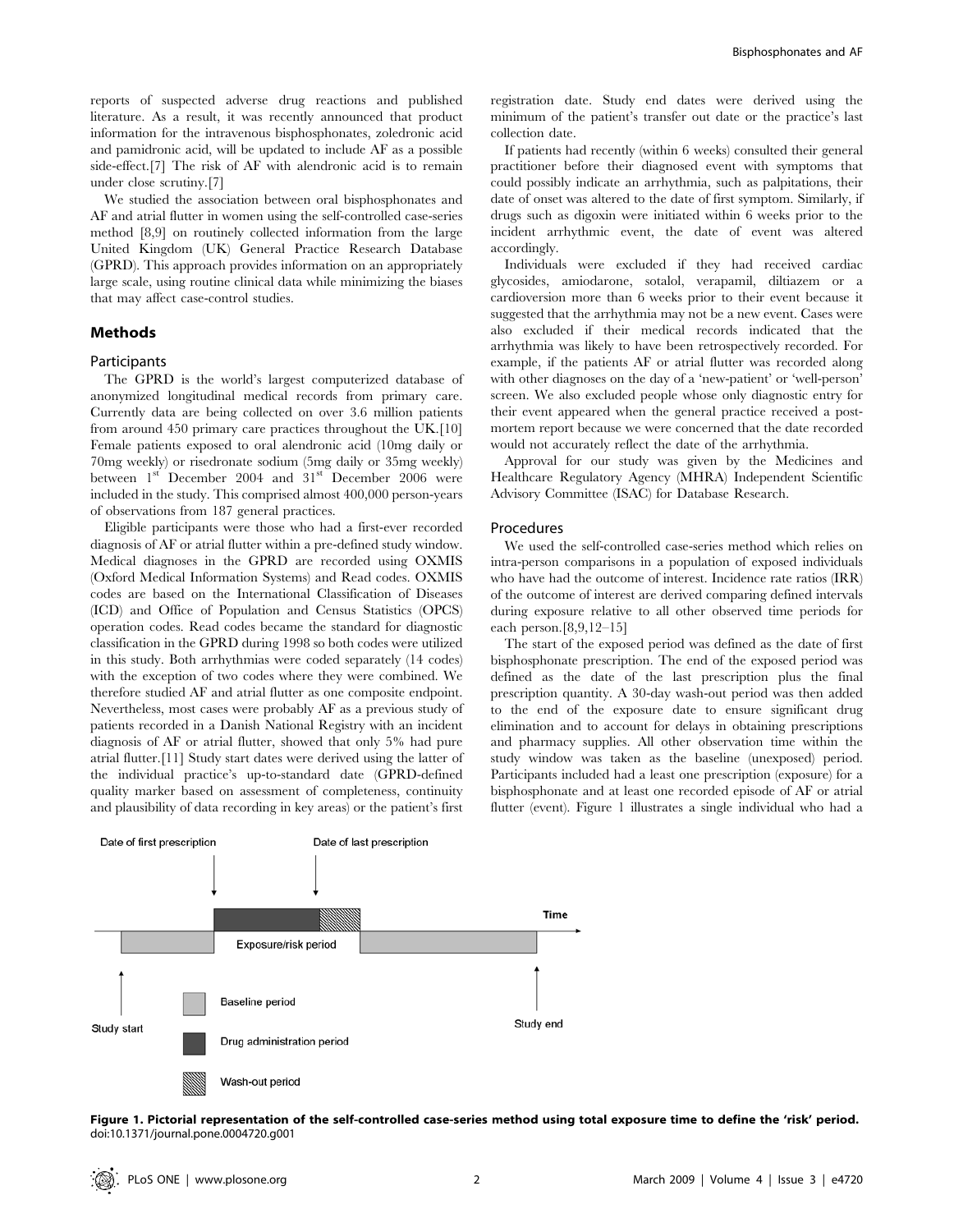reports of suspected adverse drug reactions and published literature. As a result, it was recently announced that product information for the intravenous bisphosphonates, zoledronic acid and pamidronic acid, will be updated to include AF as a possible side-effect.[7] The risk of AF with alendronic acid is to remain under close scrutiny.[7]

We studied the association between oral bisphosphonates and AF and atrial flutter in women using the self-controlled case-series method [8,9] on routinely collected information from the large United Kingdom (UK) General Practice Research Database (GPRD). This approach provides information on an appropriately large scale, using routine clinical data while minimizing the biases that may affect case-control studies.

#### Methods

#### **Participants**

The GPRD is the world's largest computerized database of anonymized longitudinal medical records from primary care. Currently data are being collected on over 3.6 million patients from around 450 primary care practices throughout the UK.[10] Female patients exposed to oral alendronic acid (10mg daily or 70mg weekly) or risedronate sodium (5mg daily or 35mg weekly) between 1<sup>st</sup> December 2004 and 31<sup>st</sup> December 2006 were included in the study. This comprised almost 400,000 person-years of observations from 187 general practices.

Eligible participants were those who had a first-ever recorded diagnosis of AF or atrial flutter within a pre-defined study window. Medical diagnoses in the GPRD are recorded using OXMIS (Oxford Medical Information Systems) and Read codes. OXMIS codes are based on the International Classification of Diseases (ICD) and Office of Population and Census Statistics (OPCS) operation codes. Read codes became the standard for diagnostic classification in the GPRD during 1998 so both codes were utilized in this study. Both arrhythmias were coded separately (14 codes) with the exception of two codes where they were combined. We therefore studied AF and atrial flutter as one composite endpoint. Nevertheless, most cases were probably AF as a previous study of patients recorded in a Danish National Registry with an incident diagnosis of AF or atrial flutter, showed that only 5% had pure atrial flutter.[11] Study start dates were derived using the latter of the individual practice's up-to-standard date (GPRD-defined quality marker based on assessment of completeness, continuity and plausibility of data recording in key areas) or the patient's first registration date. Study end dates were derived using the minimum of the patient's transfer out date or the practice's last collection date.

If patients had recently (within 6 weeks) consulted their general practitioner before their diagnosed event with symptoms that could possibly indicate an arrhythmia, such as palpitations, their date of onset was altered to the date of first symptom. Similarly, if drugs such as digoxin were initiated within 6 weeks prior to the incident arrhythmic event, the date of event was altered accordingly.

Individuals were excluded if they had received cardiac glycosides, amiodarone, sotalol, verapamil, diltiazem or a cardioversion more than 6 weeks prior to their event because it suggested that the arrhythmia may not be a new event. Cases were also excluded if their medical records indicated that the arrhythmia was likely to have been retrospectively recorded. For example, if the patients AF or atrial flutter was recorded along with other diagnoses on the day of a 'new-patient' or 'well-person' screen. We also excluded people whose only diagnostic entry for their event appeared when the general practice received a postmortem report because we were concerned that the date recorded would not accurately reflect the date of the arrhythmia.

Approval for our study was given by the Medicines and Healthcare Regulatory Agency (MHRA) Independent Scientific Advisory Committee (ISAC) for Database Research.

#### Procedures

We used the self-controlled case-series method which relies on intra-person comparisons in a population of exposed individuals who have had the outcome of interest. Incidence rate ratios (IRR) of the outcome of interest are derived comparing defined intervals during exposure relative to all other observed time periods for each person.[8,9,12–15]

The start of the exposed period was defined as the date of first bisphosphonate prescription. The end of the exposed period was defined as the date of the last prescription plus the final prescription quantity. A 30-day wash-out period was then added to the end of the exposure date to ensure significant drug elimination and to account for delays in obtaining prescriptions and pharmacy supplies. All other observation time within the study window was taken as the baseline (unexposed) period. Participants included had a least one prescription (exposure) for a bisphosphonate and at least one recorded episode of AF or atrial flutter (event). Figure 1 illustrates a single individual who had a



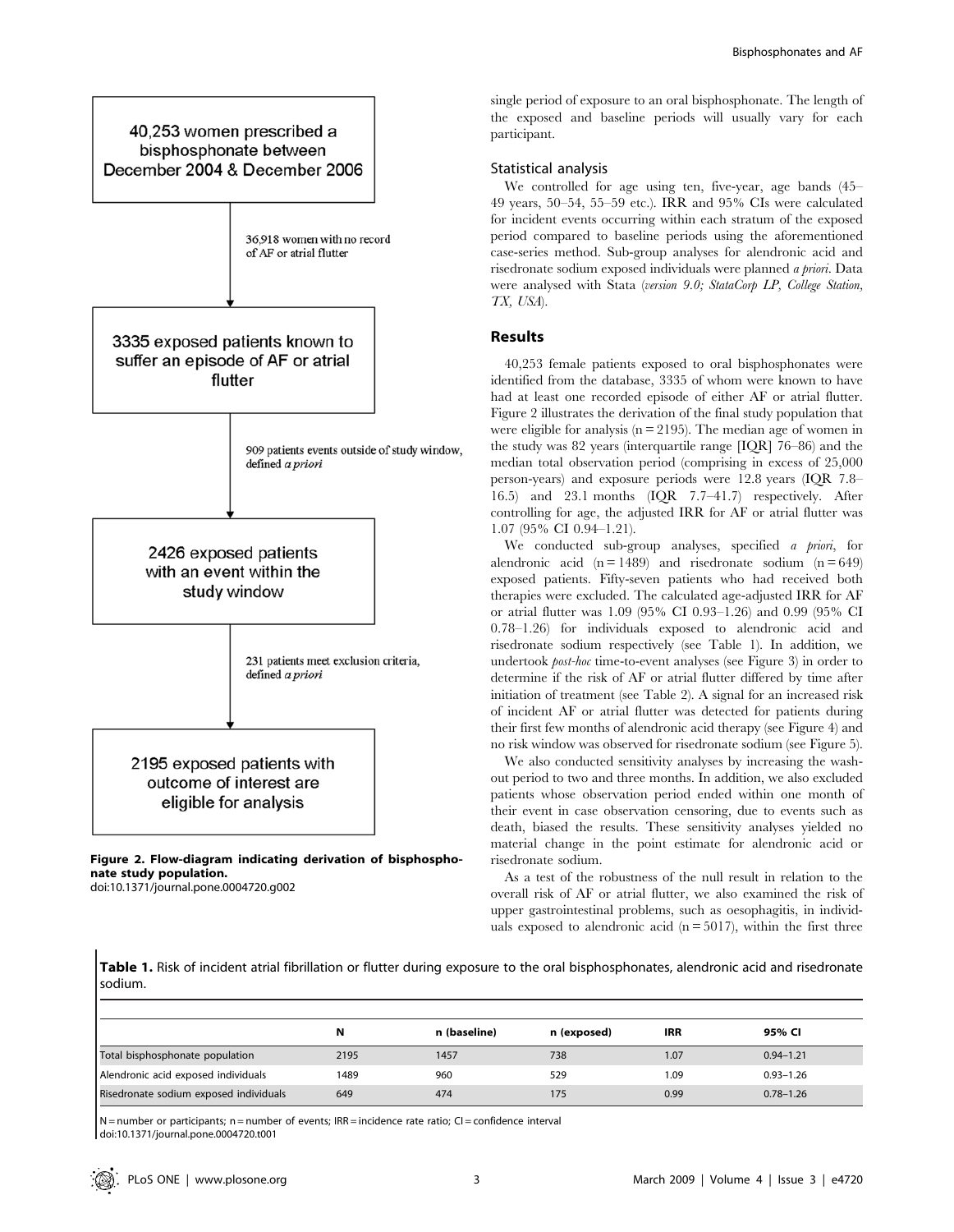

Figure 2. Flow-diagram indicating derivation of bisphosphonate study population. doi:10.1371/journal.pone.0004720.g002

single period of exposure to an oral bisphosphonate. The length of the exposed and baseline periods will usually vary for each participant.

## Statistical analysis

We controlled for age using ten, five-year, age bands (45– 49 years, 50–54, 55–59 etc.). IRR and 95% CIs were calculated for incident events occurring within each stratum of the exposed period compared to baseline periods using the aforementioned case-series method. Sub-group analyses for alendronic acid and risedronate sodium exposed individuals were planned a priori. Data were analysed with Stata (version 9.0; StataCorp LP, College Station, TX, USA).

## Results

40,253 female patients exposed to oral bisphosphonates were identified from the database, 3335 of whom were known to have had at least one recorded episode of either AF or atrial flutter. Figure 2 illustrates the derivation of the final study population that were eligible for analysis ( $n = 2195$ ). The median age of women in the study was 82 years (interquartile range [IQR] 76–86) and the median total observation period (comprising in excess of 25,000 person-years) and exposure periods were 12.8 years (IQR 7.8– 16.5) and 23.1 months (IQR 7.7–41.7) respectively. After controlling for age, the adjusted IRR for AF or atrial flutter was 1.07 (95% CI 0.94–1.21).

We conducted sub-group analyses, specified a priori, for alendronic acid  $(n = 1489)$  and risedronate sodium  $(n = 649)$ exposed patients. Fifty-seven patients who had received both therapies were excluded. The calculated age-adjusted IRR for AF or atrial flutter was 1.09 (95% CI 0.93–1.26) and 0.99 (95% CI 0.78–1.26) for individuals exposed to alendronic acid and risedronate sodium respectively (see Table 1). In addition, we undertook post-hoc time-to-event analyses (see Figure 3) in order to determine if the risk of AF or atrial flutter differed by time after initiation of treatment (see Table 2). A signal for an increased risk of incident AF or atrial flutter was detected for patients during their first few months of alendronic acid therapy (see Figure 4) and no risk window was observed for risedronate sodium (see Figure 5).

We also conducted sensitivity analyses by increasing the washout period to two and three months. In addition, we also excluded patients whose observation period ended within one month of their event in case observation censoring, due to events such as death, biased the results. These sensitivity analyses yielded no material change in the point estimate for alendronic acid or risedronate sodium.

As a test of the robustness of the null result in relation to the overall risk of AF or atrial flutter, we also examined the risk of upper gastrointestinal problems, such as oesophagitis, in individuals exposed to alendronic acid  $(n = 5017)$ , within the first three

Table 1. Risk of incident atrial fibrillation or flutter during exposure to the oral bisphosphonates, alendronic acid and risedronate sodium.

|                                        | N    | n (baseline) | n (exposed) | <b>IRR</b> | 95% CI        |
|----------------------------------------|------|--------------|-------------|------------|---------------|
| Total bisphosphonate population        | 2195 | 1457         | 738         | 1.07       | $0.94 - 1.21$ |
| Alendronic acid exposed individuals    | 1489 | 960          | 529         | 1.09       | $0.93 - 1.26$ |
| Risedronate sodium exposed individuals | 649  | 474          | 175         | 0.99       | $0.78 - 1.26$ |

 $N$  = number or participants; n = number of events; IRR = incidence rate ratio; CI = confidence interval doi:10.1371/journal.pone.0004720.t001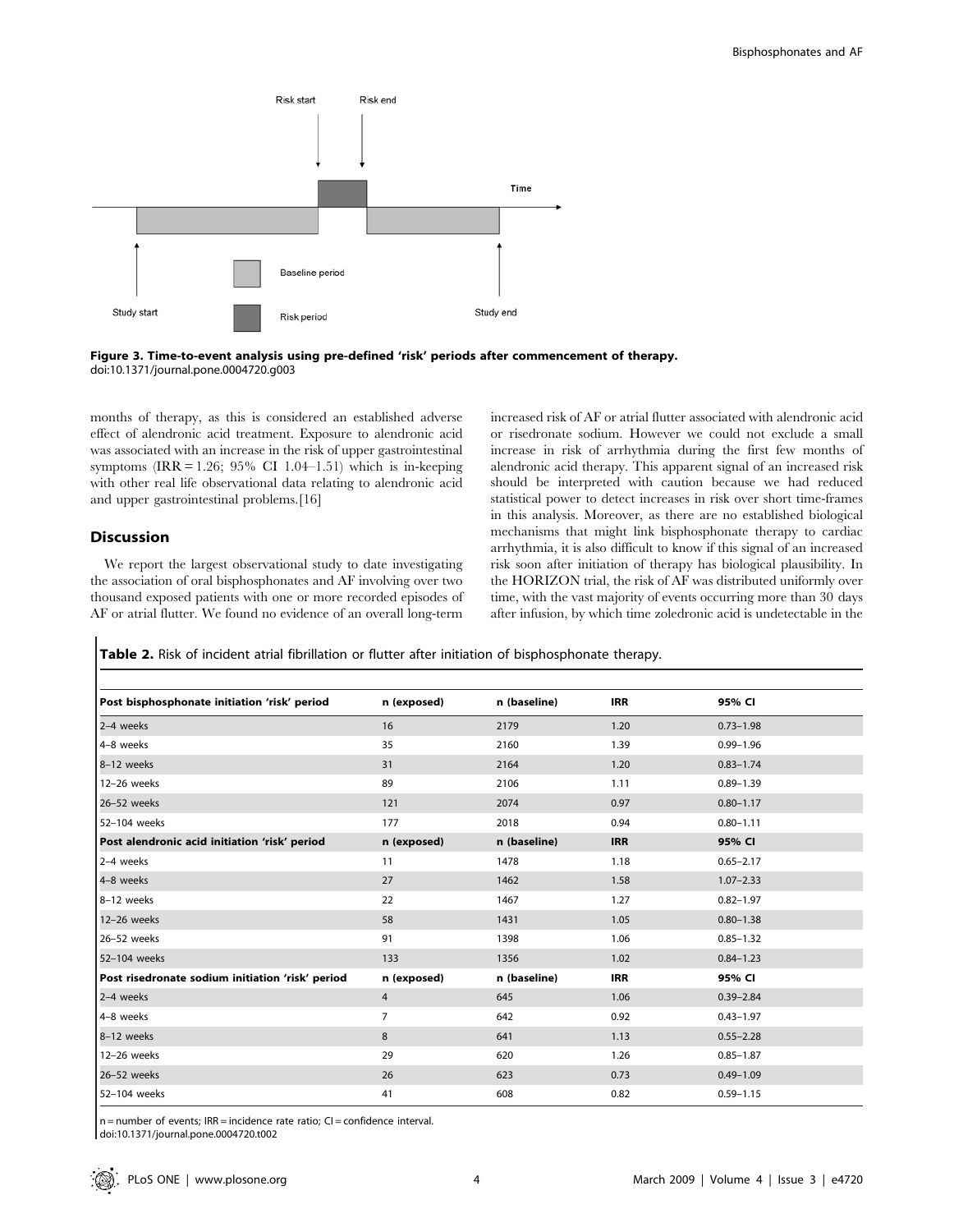



months of therapy, as this is considered an established adverse effect of alendronic acid treatment. Exposure to alendronic acid was associated with an increase in the risk of upper gastrointestinal symptoms (IRR = 1.26; 95% CI 1.04–1.51) which is in-keeping with other real life observational data relating to alendronic acid and upper gastrointestinal problems.[16]

## Discussion

We report the largest observational study to date investigating the association of oral bisphosphonates and AF involving over two thousand exposed patients with one or more recorded episodes of AF or atrial flutter. We found no evidence of an overall long-term increased risk of AF or atrial flutter associated with alendronic acid or risedronate sodium. However we could not exclude a small increase in risk of arrhythmia during the first few months of alendronic acid therapy. This apparent signal of an increased risk should be interpreted with caution because we had reduced statistical power to detect increases in risk over short time-frames in this analysis. Moreover, as there are no established biological mechanisms that might link bisphosphonate therapy to cardiac arrhythmia, it is also difficult to know if this signal of an increased risk soon after initiation of therapy has biological plausibility. In the HORIZON trial, the risk of AF was distributed uniformly over time, with the vast majority of events occurring more than 30 days after infusion, by which time zoledronic acid is undetectable in the

Table 2. Risk of incident atrial fibrillation or flutter after initiation of bisphosphonate therapy.

| Post bisphosphonate initiation 'risk' period     | n (exposed)    | n (baseline) | <b>IRR</b> | 95% CI        |
|--------------------------------------------------|----------------|--------------|------------|---------------|
| 2-4 weeks                                        | 16             | 2179         | 1.20       | $0.73 - 1.98$ |
| 4-8 weeks                                        | 35             | 2160         | 1.39       | $0.99 - 1.96$ |
| 8-12 weeks                                       | 31             | 2164         | 1.20       | $0.83 - 1.74$ |
| 12-26 weeks                                      | 89             | 2106         | 1.11       | $0.89 - 1.39$ |
| 26-52 weeks                                      | 121            | 2074         | 0.97       | $0.80 - 1.17$ |
| 52-104 weeks                                     | 177            | 2018         | 0.94       | $0.80 - 1.11$ |
| Post alendronic acid initiation 'risk' period    | n (exposed)    | n (baseline) | <b>IRR</b> | 95% CI        |
| 2-4 weeks                                        | 11             | 1478         | 1.18       | $0.65 - 2.17$ |
| 4-8 weeks                                        | 27             | 1462         | 1.58       | $1.07 - 2.33$ |
| 8-12 weeks                                       | 22             | 1467         | 1.27       | $0.82 - 1.97$ |
| 12-26 weeks                                      | 58             | 1431         | 1.05       | $0.80 - 1.38$ |
| 26-52 weeks                                      | 91             | 1398         | 1.06       | $0.85 - 1.32$ |
| 52-104 weeks                                     | 133            | 1356         | 1.02       | $0.84 - 1.23$ |
| Post risedronate sodium initiation 'risk' period | n (exposed)    | n (baseline) | <b>IRR</b> | 95% CI        |
| 2-4 weeks                                        | 4              | 645          | 1.06       | $0.39 - 2.84$ |
| 4-8 weeks                                        | $\overline{7}$ | 642          | 0.92       | $0.43 - 1.97$ |
| 8-12 weeks                                       | 8              | 641          | 1.13       | $0.55 - 2.28$ |
| 12-26 weeks                                      | 29             | 620          | 1.26       | $0.85 - 1.87$ |
| 26-52 weeks                                      | 26             | 623          | 0.73       | $0.49 - 1.09$ |
| 52-104 weeks                                     | 41             | 608          | 0.82       | $0.59 - 1.15$ |

 $n =$  number of events; IRR = incidence rate ratio; CI = confidence interval.

doi:10.1371/journal.pone.0004720.t002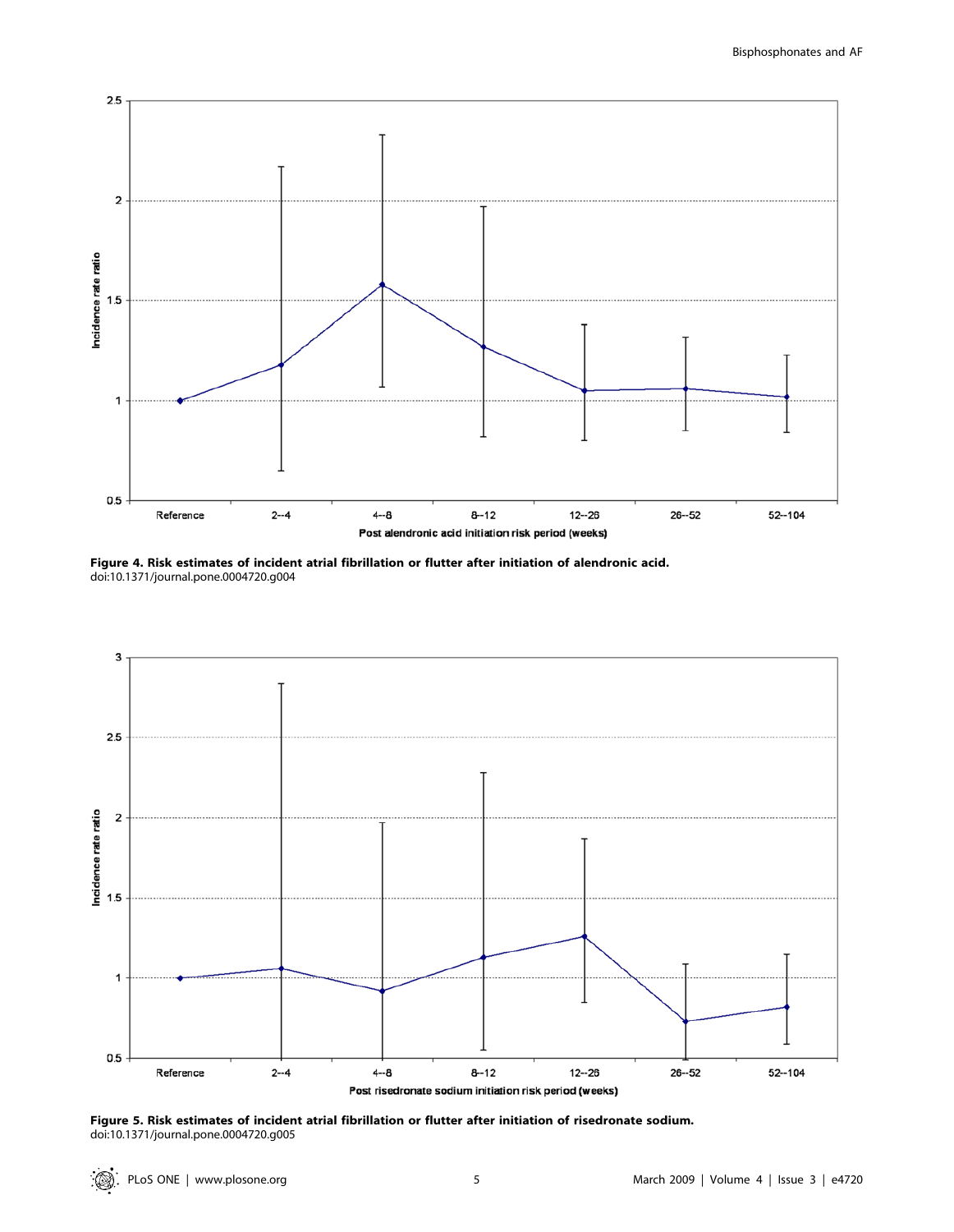

Figure 4. Risk estimates of incident atrial fibrillation or flutter after initiation of alendronic acid. doi:10.1371/journal.pone.0004720.g004



Figure 5. Risk estimates of incident atrial fibrillation or flutter after initiation of risedronate sodium. doi:10.1371/journal.pone.0004720.g005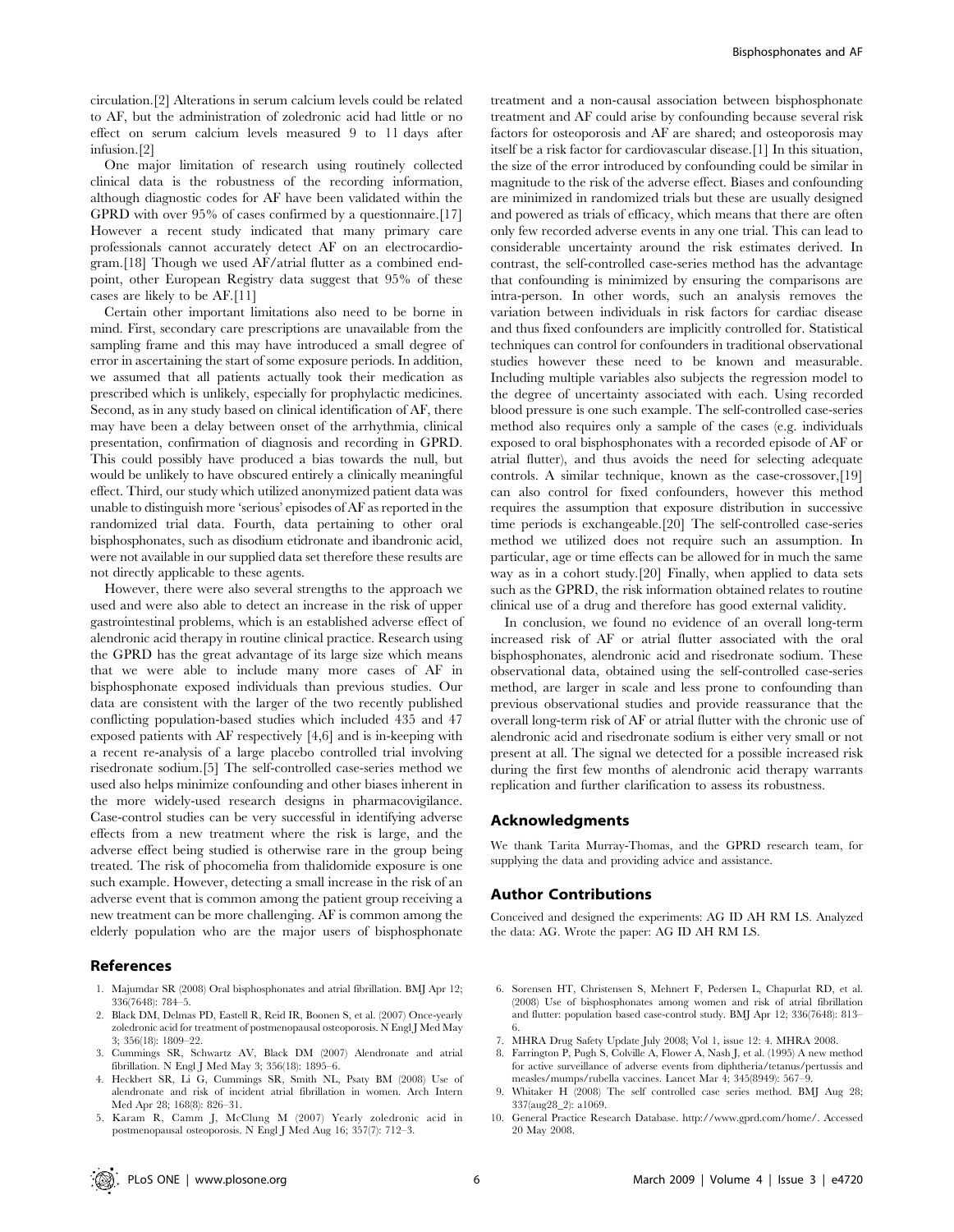circulation.[2] Alterations in serum calcium levels could be related to AF, but the administration of zoledronic acid had little or no effect on serum calcium levels measured 9 to 11 days after infusion.[2]

One major limitation of research using routinely collected clinical data is the robustness of the recording information, although diagnostic codes for AF have been validated within the GPRD with over 95% of cases confirmed by a questionnaire.[17] However a recent study indicated that many primary care professionals cannot accurately detect AF on an electrocardiogram.[18] Though we used AF/atrial flutter as a combined endpoint, other European Registry data suggest that 95% of these cases are likely to be AF.[11]

Certain other important limitations also need to be borne in mind. First, secondary care prescriptions are unavailable from the sampling frame and this may have introduced a small degree of error in ascertaining the start of some exposure periods. In addition, we assumed that all patients actually took their medication as prescribed which is unlikely, especially for prophylactic medicines. Second, as in any study based on clinical identification of AF, there may have been a delay between onset of the arrhythmia, clinical presentation, confirmation of diagnosis and recording in GPRD. This could possibly have produced a bias towards the null, but would be unlikely to have obscured entirely a clinically meaningful effect. Third, our study which utilized anonymized patient data was unable to distinguish more 'serious' episodes of AF as reported in the randomized trial data. Fourth, data pertaining to other oral bisphosphonates, such as disodium etidronate and ibandronic acid, were not available in our supplied data set therefore these results are not directly applicable to these agents.

However, there were also several strengths to the approach we used and were also able to detect an increase in the risk of upper gastrointestinal problems, which is an established adverse effect of alendronic acid therapy in routine clinical practice. Research using the GPRD has the great advantage of its large size which means that we were able to include many more cases of AF in bisphosphonate exposed individuals than previous studies. Our data are consistent with the larger of the two recently published conflicting population-based studies which included 435 and 47 exposed patients with AF respectively [4,6] and is in-keeping with a recent re-analysis of a large placebo controlled trial involving risedronate sodium.[5] The self-controlled case-series method we used also helps minimize confounding and other biases inherent in the more widely-used research designs in pharmacovigilance. Case-control studies can be very successful in identifying adverse effects from a new treatment where the risk is large, and the adverse effect being studied is otherwise rare in the group being treated. The risk of phocomelia from thalidomide exposure is one such example. However, detecting a small increase in the risk of an adverse event that is common among the patient group receiving a new treatment can be more challenging. AF is common among the elderly population who are the major users of bisphosphonate

## References

- 1. Majumdar SR (2008) Oral bisphosphonates and atrial fibrillation. BMJ Apr 12; 336(7648): 784–5.
- 2. Black DM, Delmas PD, Eastell R, Reid IR, Boonen S, et al. (2007) Once-yearly zoledronic acid for treatment of postmenopausal osteoporosis. N Engl J Med May 3; 356(18): 1809–22.
- 3. Cummings SR, Schwartz AV, Black DM (2007) Alendronate and atrial fibrillation. N Engl J Med May 3; 356(18): 1895–6.
- 4. Heckbert SR, Li G, Cummings SR, Smith NL, Psaty BM (2008) Use of alendronate and risk of incident atrial fibrillation in women. Arch Intern Med Apr 28; 168(8): 826–31.
- 5. Karam R, Camm J, McClung M (2007) Yearly zoledronic acid in postmenopausal osteoporosis. N Engl J Med Aug 16; 357(7): 712–3.

treatment and a non-causal association between bisphosphonate treatment and AF could arise by confounding because several risk factors for osteoporosis and AF are shared; and osteoporosis may itself be a risk factor for cardiovascular disease.[1] In this situation, the size of the error introduced by confounding could be similar in magnitude to the risk of the adverse effect. Biases and confounding are minimized in randomized trials but these are usually designed and powered as trials of efficacy, which means that there are often only few recorded adverse events in any one trial. This can lead to considerable uncertainty around the risk estimates derived. In contrast, the self-controlled case-series method has the advantage that confounding is minimized by ensuring the comparisons are intra-person. In other words, such an analysis removes the variation between individuals in risk factors for cardiac disease and thus fixed confounders are implicitly controlled for. Statistical techniques can control for confounders in traditional observational studies however these need to be known and measurable. Including multiple variables also subjects the regression model to the degree of uncertainty associated with each. Using recorded blood pressure is one such example. The self-controlled case-series method also requires only a sample of the cases (e.g. individuals exposed to oral bisphosphonates with a recorded episode of AF or atrial flutter), and thus avoids the need for selecting adequate controls. A similar technique, known as the case-crossover,[19] can also control for fixed confounders, however this method requires the assumption that exposure distribution in successive time periods is exchangeable.[20] The self-controlled case-series method we utilized does not require such an assumption. In particular, age or time effects can be allowed for in much the same way as in a cohort study.[20] Finally, when applied to data sets such as the GPRD, the risk information obtained relates to routine clinical use of a drug and therefore has good external validity.

In conclusion, we found no evidence of an overall long-term increased risk of AF or atrial flutter associated with the oral bisphosphonates, alendronic acid and risedronate sodium. These observational data, obtained using the self-controlled case-series method, are larger in scale and less prone to confounding than previous observational studies and provide reassurance that the overall long-term risk of AF or atrial flutter with the chronic use of alendronic acid and risedronate sodium is either very small or not present at all. The signal we detected for a possible increased risk during the first few months of alendronic acid therapy warrants replication and further clarification to assess its robustness.

#### Acknowledgments

We thank Tarita Murray-Thomas, and the GPRD research team, for supplying the data and providing advice and assistance.

## Author Contributions

Conceived and designed the experiments: AG ID AH RM LS. Analyzed the data: AG. Wrote the paper: AG ID AH RM LS.

- 6. Sorensen HT, Christensen S, Mehnert F, Pedersen L, Chapurlat RD, et al. (2008) Use of bisphosphonates among women and risk of atrial fibrillation and flutter: population based case-control study. BMJ Apr 12; 336(7648): 813– 6.
- 7. MHRA Drug Safety Update July 2008; Vol 1, issue 12: 4. MHRA 2008.
- 8. Farrington P, Pugh S, Colville A, Flower A, Nash J, et al. (1995) A new method for active surveillance of adverse events from diphtheria/tetanus/pertussis and measles/mumps/rubella vaccines. Lancet Mar 4; 345(8949): 567–9.
- 9. Whitaker H (2008) The self controlled case series method. BMJ Aug 28; 337(aug28\_2): a1069.
- 10. General Practice Research Database. http://www.gprd.com/home/. Accessed 20 May 2008.